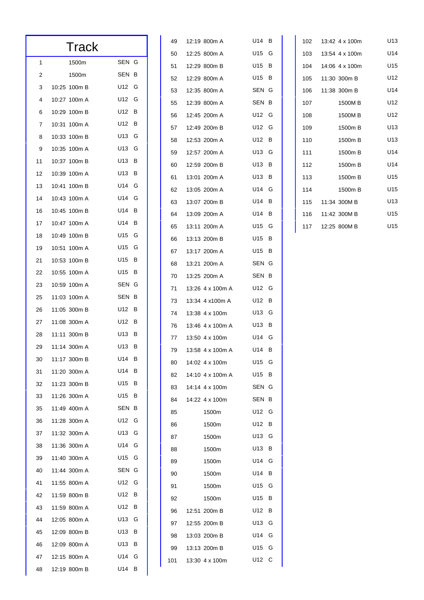| Track |              |          |  |  |
|-------|--------------|----------|--|--|
| 1     | 1500m        | SEN G    |  |  |
| 2     | 1500m        | SEN B    |  |  |
| 3     | 10:25 100m B | U12 G    |  |  |
| 4     | 10:27 100m A | U12 G    |  |  |
| 6     | 10:29 100m B | U12 B    |  |  |
| 7     | 10:31 100m A | U12 B    |  |  |
| 8     | 10:33 100m B | U13 G    |  |  |
| 9     | 10:35 100m A | U13 G    |  |  |
| 11    | 10:37 100m B | U13 B    |  |  |
| 12    | 10:39 100m A | U13 B    |  |  |
| 13    | 10:41 100m B | U14 G    |  |  |
| 14    | 10:43 100m A | U14 G    |  |  |
| 16    | 10:45 100m B | U14 B    |  |  |
| 17    | 10:47 100m A | U14 B    |  |  |
| 18    | 10:49 100m B | U15 G    |  |  |
| 19    | 10:51 100m A | U15 G    |  |  |
| 21    | 10:53 100m B | U15 B    |  |  |
| 22    | 10:55 100m A | U15 B    |  |  |
| 23    | 10:59 100m A | SEN G    |  |  |
| 25    | 11:03 100m A | SEN<br>в |  |  |
| 26    | 11:05 300m B | U12 B    |  |  |
| 27    | 11:08 300m A | U12 B    |  |  |
| 28    | 11:11 300m B | U13 B    |  |  |
| 29    | 11:14 300m A | U13<br>в |  |  |
| 30    | 11:17 300m B | U14<br>в |  |  |
| 31    | 11:20 300m A | U14 B    |  |  |
| 32    | 11:23 300m B | U15 B    |  |  |
| 33    | 11:26 300m A | U15 B    |  |  |
| 35    | 11:49 400m A | SEN B    |  |  |
| 36    | 11:28 300m A | U12 G    |  |  |
| 37    | 11:32 300m A | U13 G    |  |  |
| 38    | 11:36 300m A | U14 G    |  |  |
| 39    | 11:40 300m A | U15 G    |  |  |
| 40    | 11:44 300m A | SEN G    |  |  |
| 41    | 11:55 800m A | U12 G    |  |  |
| 42    | 11:59 800m B | U12 B    |  |  |
| 43    | 11:59 800m A | U12 B    |  |  |
| 44    | 12:05 800m A | U13 G    |  |  |
| 45    | 12:09 800m B | U13 B    |  |  |
| 46    | 12:09 800m A | U13<br>B |  |  |
| 47    | 12:15 800m A | U14 G    |  |  |
| 48    | 12:19 800m B | U14 B    |  |  |

| 49  | 12:19 800m A     | U14   | в |
|-----|------------------|-------|---|
| 50  | 12:25 800m A     | U15 G |   |
| 51  | 12:29 800m B     | U15   | в |
| 52  | 12:29 800m A     | U15 B |   |
| 53  | 12:35 800m A     | SEN G |   |
| 55  | 12:39 800m A     | SEN B |   |
| 56  | 12:45 200m A     | U12 G |   |
| 57  | 12:49 200m B     | U12 - | G |
| 58  | 12:53 200m A     | U12   | В |
| 59  | 12:57 200m A     | U13 - | G |
| 60  | 12:59 200m B     | U13   | в |
| 61  | 13:01 200m A     | U13   | В |
| 62  | 13:05 200m A     | U14 G |   |
| 63  | 13:07 200m B     | U14   | В |
| 64  | 13:09 200m A     | U14   | В |
| 65  | 13:11 200m A     | U15 G |   |
| 66  | 13:13 200m B     | U15   | в |
| 67  | 13:17 200m A     | U15   | В |
| 68  | 13:21 200m A     | SEN G |   |
| 70  | 13:25 200m A     | SEN B |   |
| 71  | 13:26 4 x 100m A | U12 G |   |
| 73  | 13:34 4 x100m A  | U12   | В |
| 74  | 13:38 4 x 100m   | U13 G |   |
| 76  | 13:46 4 x 100m A | U13   | в |
| 77  | 13:50 4 x 100m   | U14 G |   |
| 79  | 13:58 4 x 100m A | U14   | в |
| 80  | 14:02 4 x 100m   | U15   | G |
| 82  | 14:10 4 x 100m A | U15   | в |
| 83  | 14:14 4 x 100m   | SEN G |   |
| 84  | 14:22 4 x 100m   | SEN   | в |
| 85  | 1500m            | U12 G |   |
| 86  | 1500m            | U12   | в |
| 87  | 1500m            | U13 G |   |
| 88  | 1500m            | U13 - | В |
| 89  | 1500m            | U14 G |   |
| 90  | 1500m            | U14   | В |
| 91  | 1500m            | U15 G |   |
| 92  | 1500m            | U15 I | в |
| 96  | 12:51 200m B     | U12   | в |
| 97  | 12:55 200m B     | U13 - | G |
| 98  | 13:03 200m B     | U14 G |   |
| 99  | 13:13 200m B     | U15 - | G |
| 101 | 13:30 4 x 100m   | U12   | С |

| 102 | 13:42 4 x 100m     | U13             |
|-----|--------------------|-----------------|
| 103 | 13:54 4 x 100m     | U14             |
|     | 104 14:06 4 x 100m | U15             |
|     | 105 11:30 300m B   | U12             |
|     | 106 11:38 300m B   | U14             |
| 107 | 1500MB             | U12             |
| 108 | 1500MB             | U12             |
| 109 | 1500m B            | U13             |
| 110 | 1500m B            | U13             |
| 111 | 1500m B            | U <sub>14</sub> |
| 112 | 1500m B            | U14             |
| 113 | 1500m B            | U <sub>15</sub> |
| 114 | 1500m B            | U <sub>15</sub> |
| 115 | 11:34 300M B       | U13             |
|     | 116 11:42 300M B   | U15             |
|     | 117 12:25 800M B   | U <sub>15</sub> |